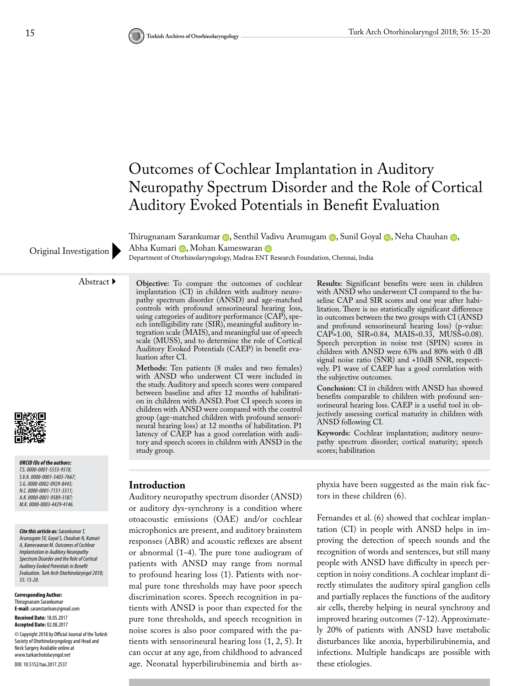# Outcomes of Cochlear Implantation in Auditory Neuropathy Spectrum Disorder and the Role of Cortical Auditory Evoked Potentials in Benefit Evaluation

Thirugnanam Sarankumar (b, Senthil Vadivu Arumugam (b, Sunil Goyal (b, Neha Chauhan (b, AbhaKumari D, Mohan Kameswaran D Original Investigation Abha Kumari D, Mohan Kameswaran D<br>Department of Otorhinolaryngology, Madras ENT Research Foundation, Chennai, India

implantation (CI) in children with auditory neuropathy spectrum disorder (ANSD) and age-matched controls with profound sensorineural hearing loss, using categories of auditory performance (CAP), speech intelligibility rate (SIR), meaningful auditory integration scale (MAIS), and meaningful use of speech scale (MUSS), and to determine the role of Cortical Auditory Evoked Potentials (CAEP) in benefit eva-

**Methods:** Ten patients (8 males and two females) with ANSD who underwent CI were included in the study. Auditory and speech scores were compared between baseline and after 12 months of habilitation in children with ANSD. Post CI speech scores in children with ANSD were compared with the control group (age-matched children with profound sensorineural hearing loss) at 12 months of habilitation. P1 latency of CAEP has a good correlation with auditory and speech scores in children with ANSD in the

Abstract **Objective:** To compare the outcomes of cochlear



*ORCID IDs of the authors: T.S. 0000-0001-5533-951X; S.V.A. 0000-0001-5403-7667; S.G. 0000-0002-0929-8443; N.C. 0000-0001-7151-3311; A.K. 0000-0001-9589-3187; M.K. 0000-0003-4429-4146.*

*Cite this article as: Sarankumar T, Arumugam SV, Goyal S, Chauhan N, Kumari A, Kameswaran M. Outcomes of Cochlear Implantation in Auditory Neuropathy Spectrum Disorder and the Role of Cortical Auditory Evoked Potentials in Benefit Evaluation. Turk Arch Otorhinolaryngol 2018; 55: 15-20.*

#### **Corresponding Author:**  Thirugnanam Sarankumar

**E-mail:** saranstanlean@gmail.com **Received Date:** 18.05.2017 **Accepted Date:** 02.08.2017 © Copyright 2018 by Official Journal of the Turkish Society of Otorhinolaryngology and Head and Neck Surgery Available online at www.turkarchotolaryngol.net DOI: 10.5152/tao.2017.2537

## **Introduction**

study group.

luation after CI.

Auditory neuropathy spectrum disorder (ANSD) or auditory dys-synchrony is a condition where otoacoustic emissions (OAE) and/or cochlear microphonics are present, and auditory brainstem responses (ABR) and acoustic reflexes are absent or abnormal (1-4). The pure tone audiogram of patients with ANSD may range from normal to profound hearing loss (1). Patients with normal pure tone thresholds may have poor speech discrimination scores. Speech recognition in patients with ANSD is poor than expected for the pure tone thresholds, and speech recognition in noise scores is also poor compared with the patients with sensorineural hearing loss (1, 2, 5). It can occur at any age, from childhood to advanced age. Neonatal hyperbilirubinemia and birth as**Results:** Significant benefits were seen in children with ANSD who underwent CI compared to the baseline CAP and SIR scores and one year after habilitation. There is no statistically significant difference in outcomes between the two groups with CI (ANSD and profound sensorineural hearing loss) (p-value: CAP=1.00, SIR=0.84, MAIS=0.33, MUSS=0.08). Speech perception in noise test (SPIN) scores in children with ANSD were 63% and 80% with 0 dB signal noise ratio (SNR) and +10dB SNR, respectively. P1 wave of CAEP has a good correlation with the subjective outcomes.

**Conclusion:** CI in children with ANSD has showed benefits comparable to children with profound sensorineural hearing loss. CAEP is a useful tool in objectively assessing cortical maturity in children with ANSD following CI.

**Keywords:** Cochlear implantation; auditory neuropathy spectrum disorder; cortical maturity; speech scores; habilitation

phyxia have been suggested as the main risk factors in these children (6).

Fernandes et al. (6) showed that cochlear implantation (CI) in people with ANSD helps in improving the detection of speech sounds and the recognition of words and sentences, but still many people with ANSD have difficulty in speech perception in noisy conditions. A cochlear implant directly stimulates the auditory spiral ganglion cells and partially replaces the functions of the auditory air cells, thereby helping in neural synchrony and improved hearing outcomes (7-12). Approximately 20% of patients with ANSD have metabolic disturbances like anoxia, hyperbilirubinemia, and infections. Multiple handicaps are possible with these etiologies.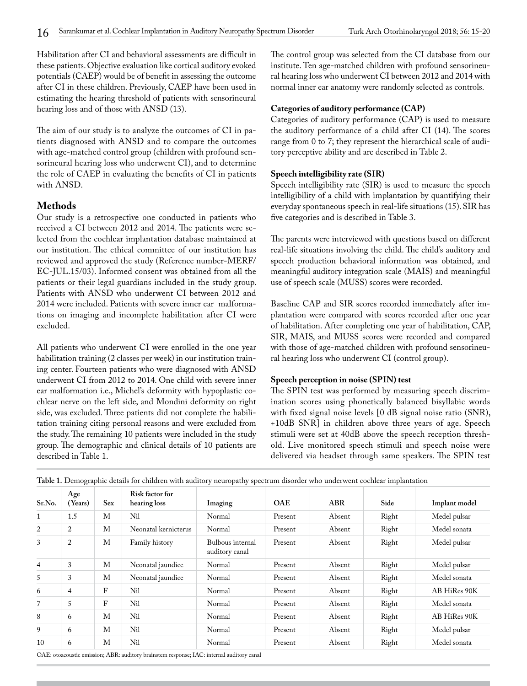Habilitation after CI and behavioral assessments are difficult in these patients. Objective evaluation like cortical auditory evoked potentials (CAEP) would be of benefit in assessing the outcome after CI in these children. Previously, CAEP have been used in estimating the hearing threshold of patients with sensorineural hearing loss and of those with ANSD (13).

The aim of our study is to analyze the outcomes of CI in patients diagnosed with ANSD and to compare the outcomes with age-matched control group (children with profound sensorineural hearing loss who underwent CI), and to determine the role of CAEP in evaluating the benefits of CI in patients with ANSD.

## **Methods**

Our study is a retrospective one conducted in patients who received a CI between 2012 and 2014. The patients were selected from the cochlear implantation database maintained at our institution. The ethical committee of our institution has reviewed and approved the study (Reference number-MERF/ EC-JUL.15/03). Informed consent was obtained from all the patients or their legal guardians included in the study group. Patients with ANSD who underwent CI between 2012 and 2014 were included. Patients with severe inner ear malformations on imaging and incomplete habilitation after CI were excluded.

All patients who underwent CI were enrolled in the one year habilitation training (2 classes per week) in our institution training center. Fourteen patients who were diagnosed with ANSD underwent CI from 2012 to 2014. One child with severe inner ear malformation i.e., Michel's deformity with hypoplastic cochlear nerve on the left side, and Mondini deformity on right side, was excluded. Three patients did not complete the habilitation training citing personal reasons and were excluded from the study. The remaining 10 patients were included in the study group. The demographic and clinical details of 10 patients are described in Table 1.

The control group was selected from the CI database from our institute. Ten age-matched children with profound sensorineural hearing loss who underwent CI between 2012 and 2014 with normal inner ear anatomy were randomly selected as controls.

#### **Categories of auditory performance (CAP)**

Categories of auditory performance (CAP) is used to measure the auditory performance of a child after CI (14). The scores range from 0 to 7; they represent the hierarchical scale of auditory perceptive ability and are described in Table 2.

#### **Speech intelligibility rate (SIR)**

Speech intelligibility rate (SIR) is used to measure the speech intelligibility of a child with implantation by quantifying their everyday spontaneous speech in real-life situations (15). SIR has five categories and is described in Table 3.

The parents were interviewed with questions based on different real-life situations involving the child. The child's auditory and speech production behavioral information was obtained, and meaningful auditory integration scale (MAIS) and meaningful use of speech scale (MUSS) scores were recorded.

Baseline CAP and SIR scores recorded immediately after implantation were compared with scores recorded after one year of habilitation. After completing one year of habilitation, CAP, SIR, MAIS, and MUSS scores were recorded and compared with those of age-matched children with profound sensorineural hearing loss who underwent CI (control group).

#### **Speech perception in noise (SPIN) test**

The SPIN test was performed by measuring speech discrimination scores using phonetically balanced bisyllabic words with fixed signal noise levels [0 dB signal noise ratio (SNR), +10dB SNR] in children above three years of age. Speech stimuli were set at 40dB above the speech reception threshold. Live monitored speech stimuli and speech noise were delivered via headset through same speakers. The SPIN test

| Sr.No.         | Age<br>(Years) | Sex | Risk factor for<br>hearing loss | Imaging                            | <b>OAE</b> | <b>ABR</b> | Side  | Implant model |
|----------------|----------------|-----|---------------------------------|------------------------------------|------------|------------|-------|---------------|
| $\mathbf{1}$   | 1.5            | М   | Nil                             | Normal                             | Present    | Absent     | Right | Medel pulsar  |
| 2              | 2              | М   | Neonatal kernicterus            | Normal                             | Present    | Absent     | Right | Medel sonata  |
| 3              | $\overline{2}$ | M   | Family history                  | Bulbous internal<br>auditory canal | Present    | Absent     | Right | Medel pulsar  |
| $\overline{4}$ | 3              | M   | Neonatal jaundice               | Normal                             | Present    | Absent     | Right | Medel pulsar  |
| 5              | 3              | M   | Neonatal jaundice               | Normal                             | Present    | Absent     | Right | Medel sonata  |
| 6              | 4              | F   | Nil                             | Normal                             | Present    | Absent     | Right | AB HiRes 90K  |
|                | 5              | F   | Nil                             | Normal                             | Present    | Absent     | Right | Medel sonata  |
| 8              | 6              | M   | Nil                             | Normal                             | Present    | Absent     | Right | AB HiRes 90K  |
| 9              | 6              | M   | Nil                             | Normal                             | Present    | Absent     | Right | Medel pulsar  |
| 10             | 6              | М   | Nil                             | Normal                             | Present    | Absent     | Right | Medel sonata  |

**Table 1.** Demographic details for children with auditory neuropathy spectrum disorder who underwent cochlear implantation

OAE: otoacoustic emission; ABR: auditory brainstem response; IAC: internal auditory canal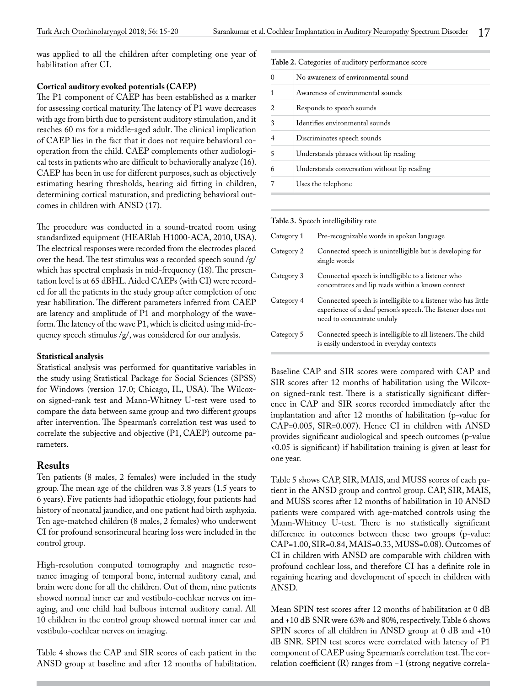was applied to all the children after completing one year of habilitation after CI.

#### **Cortical auditory evoked potentials (CAEP)**

The P1 component of CAEP has been established as a marker for assessing cortical maturity. The latency of P1 wave decreases with age from birth due to persistent auditory stimulation, and it reaches 60 ms for a middle-aged adult. The clinical implication of CAEP lies in the fact that it does not require behavioral cooperation from the child. CAEP complements other audiological tests in patients who are difficult to behaviorally analyze (16). CAEP has been in use for different purposes, such as objectively estimating hearing thresholds, hearing aid fitting in children, determining cortical maturation, and predicting behavioral outcomes in children with ANSD (17).

The procedure was conducted in a sound-treated room using standardized equipment (HEARlab H1000-ACA, 2010, USA). The electrical responses were recorded from the electrodes placed over the head. The test stimulus was a recorded speech sound /g/ which has spectral emphasis in mid-frequency (18). The presentation level is at 65 dBHL. Aided CAEPs (with CI) were recorded for all the patients in the study group after completion of one year habilitation. The different parameters inferred from CAEP are latency and amplitude of P1 and morphology of the waveform. The latency of the wave P1, which is elicited using mid-frequency speech stimulus /g/, was considered for our analysis.

#### **Statistical analysis**

Statistical analysis was performed for quantitative variables in the study using Statistical Package for Social Sciences (SPSS) for Windows (version 17.0; Chicago, IL, USA). The Wilcoxon signed-rank test and Mann-Whitney U-test were used to compare the data between same group and two different groups after intervention. The Spearman's correlation test was used to correlate the subjective and objective (P1, CAEP) outcome parameters.

## **Results**

Ten patients (8 males, 2 females) were included in the study group. The mean age of the children was 3.8 years (1.5 years to 6 years). Five patients had idiopathic etiology, four patients had history of neonatal jaundice, and one patient had birth asphyxia. Ten age-matched children (8 males, 2 females) who underwent CI for profound sensorineural hearing loss were included in the control group.

High-resolution computed tomography and magnetic resonance imaging of temporal bone, internal auditory canal, and brain were done for all the children. Out of them, nine patients showed normal inner ear and vestibulo-cochlear nerves on imaging, and one child had bulbous internal auditory canal. All 10 children in the control group showed normal inner ear and vestibulo-cochlear nerves on imaging.

Table 4 shows the CAP and SIR scores of each patient in the ANSD group at baseline and after 12 months of habilitation.

|   | No awareness of environmental sound          |
|---|----------------------------------------------|
|   | Awareness of environmental sounds            |
|   | Responds to speech sounds                    |
| 3 | Identifies environmental sounds              |
|   | Discriminates speech sounds                  |
| 5 | Understands phrases without lip reading      |
| 6 | Understands conversation without lip reading |
|   | Uses the telephone                           |
|   |                                              |

**Table 3.** Speech intelligibility rate

| Category 1 | Pre-recognizable words in spoken language                                                                                                                  |
|------------|------------------------------------------------------------------------------------------------------------------------------------------------------------|
| Category 2 | Connected speech is unintelligible but is developing for<br>single words                                                                                   |
| Category 3 | Connected speech is intelligible to a listener who<br>concentrates and lip reads within a known context                                                    |
| Category 4 | Connected speech is intelligible to a listener who has little<br>experience of a deaf person's speech. The listener does not<br>need to concentrate unduly |
| Category 5 | Connected speech is intelligible to all listeners. The child<br>is easily understood in everyday contexts                                                  |

Baseline CAP and SIR scores were compared with CAP and SIR scores after 12 months of habilitation using the Wilcoxon signed-rank test. There is a statistically significant difference in CAP and SIR scores recorded immediately after the implantation and after 12 months of habilitation (p-value for CAP=0.005, SIR=0.007). Hence CI in children with ANSD provides significant audiological and speech outcomes (p-value <0.05 is significant) if habilitation training is given at least for one year.

Table 5 shows CAP, SIR, MAIS, and MUSS scores of each patient in the ANSD group and control group. CAP, SIR, MAIS, and MUSS scores after 12 months of habilitation in 10 ANSD patients were compared with age-matched controls using the Mann-Whitney U-test. There is no statistically significant difference in outcomes between these two groups (p-value: CAP=1.00, SIR=0.84, MAIS=0.33, MUSS=0.08). Outcomes of CI in children with ANSD are comparable with children with profound cochlear loss, and therefore CI has a definite role in regaining hearing and development of speech in children with ANSD.

Mean SPIN test scores after 12 months of habilitation at 0 dB and +10 dB SNR were 63% and 80%, respectively. Table 6 shows SPIN scores of all children in ANSD group at 0 dB and +10 dB SNR. SPIN test scores were correlated with latency of P1 component of CAEP using Spearman's correlation test. The correlation coefficient (R) ranges from −1 (strong negative correla-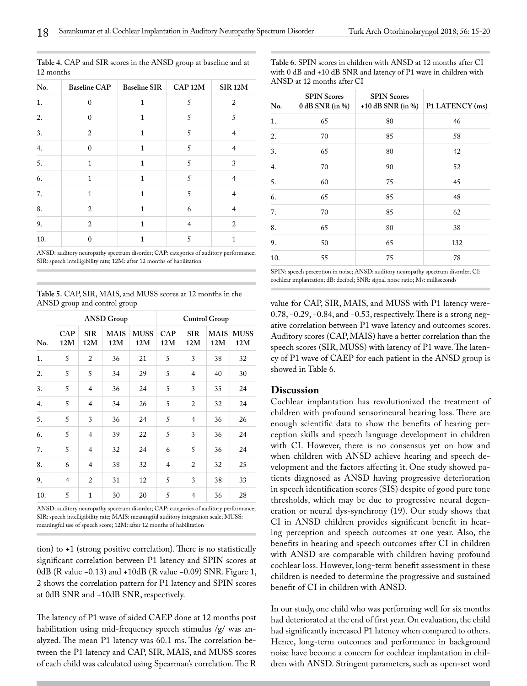| No. | <b>Baseline CAP</b> | <b>Baseline SIR</b> | CAP 12M        | <b>SIR 12M</b> |
|-----|---------------------|---------------------|----------------|----------------|
| 1.  | $\mathbf{0}$        | $\mathbf{1}$        | 5              | $\overline{2}$ |
| 2.  | $\theta$            | $\mathbf{1}$        | 5              | 5              |
| 3.  | 2                   | $\mathbf{1}$        | 5              | $\overline{4}$ |
| 4.  | $\theta$            | $\mathbf{1}$        | 5              | $\overline{4}$ |
| 5.  | 1                   | $\mathbf{1}$        | 5              | 3              |
| 6.  | 1                   | $\mathbf{1}$        | 5              | $\overline{4}$ |
| 7.  | 1                   | $\mathbf{1}$        | 5              | $\overline{4}$ |
| 8.  | 2                   | $\mathbf{1}$        | 6              | $\overline{4}$ |
| 9.  | 2                   | $\mathbf{1}$        | $\overline{4}$ | 2              |
| 10. | 0                   | 1                   | 5              | 1              |

**Table 4.** CAP and SIR scores in the ANSD group at baseline and at 12 months

**Table 6.** SPIN scores in children with ANSD at 12 months after CI with 0 dB and +10 dB SNR and latency of P1 wave in children with ANSD at 12 months after CI

| 65<br>1.<br>80<br>46<br>2.<br>70<br>85<br>58<br>3.<br>65<br>80<br>42<br>$\overline{4}$ .<br>90<br>52<br>70<br>5.<br>75<br>45<br>60<br>6.<br>85<br>65<br>48<br>7.<br>85<br>62<br>70 | No. | <b>SPIN Scores</b><br>0 dB SNR (in %) | <b>SPIN Scores</b><br>+10 dB SNR (in $%$ ) | P1 LATENCY (ms) |
|------------------------------------------------------------------------------------------------------------------------------------------------------------------------------------|-----|---------------------------------------|--------------------------------------------|-----------------|
|                                                                                                                                                                                    |     |                                       |                                            |                 |
|                                                                                                                                                                                    |     |                                       |                                            |                 |
|                                                                                                                                                                                    |     |                                       |                                            |                 |
|                                                                                                                                                                                    |     |                                       |                                            |                 |
|                                                                                                                                                                                    |     |                                       |                                            |                 |
|                                                                                                                                                                                    |     |                                       |                                            |                 |
|                                                                                                                                                                                    |     |                                       |                                            |                 |
| 8.<br>65<br>80<br>38                                                                                                                                                               |     |                                       |                                            |                 |
| 9.<br>50<br>65<br>132                                                                                                                                                              |     |                                       |                                            |                 |
| 55<br>75<br>10.<br>78                                                                                                                                                              |     |                                       |                                            |                 |

SPIN: speech perception in noise; ANSD: auditory neuropathy spectrum disorder; CI: cochlear implantation; dB: decibel; SNR: signal noise ratio; Ms: milliseconds

value for CAP, SIR, MAIS, and MUSS with P1 latency were-0.78, −0.29, −0.84, and −0.53, respectively. There is a strong negative correlation between P1 wave latency and outcomes scores. Auditory scores (CAP, MAIS) have a better correlation than the speech scores (SIR, MUSS) with latency of P1 wave. The latency of P1 wave of CAEP for each patient in the ANSD group is showed in Table 6.

#### **Discussion**

Cochlear implantation has revolutionized the treatment of children with profound sensorineural hearing loss. There are enough scientific data to show the benefits of hearing perception skills and speech language development in children with CI. However, there is no consensus yet on how and when children with ANSD achieve hearing and speech development and the factors affecting it. One study showed patients diagnosed as ANSD having progressive deterioration in speech identification scores (SIS) despite of good pure tone thresholds, which may be due to progressive neural degeneration or neural dys-synchrony (19). Our study shows that CI in ANSD children provides significant benefit in hearing perception and speech outcomes at one year. Also, the benefits in hearing and speech outcomes after CI in children with ANSD are comparable with children having profound cochlear loss. However, long-term benefit assessment in these children is needed to determine the progressive and sustained benefit of CI in children with ANSD.

In our study, one child who was performing well for six months had deteriorated at the end of first year. On evaluation, the child had significantly increased P1 latency when compared to others. Hence, long-term outcomes and performance in background noise have become a concern for cochlear implantation in children with ANSD. Stringent parameters, such as open-set word

ANSD: auditory neuropathy spectrum disorder; CAP: categories of auditory performance; SIR: speech intelligibility rate; 12M: after 12 months of habilitation

**Table 5.** CAP, SIR, MAIS, and MUSS scores at 12 months in the ANSD group and control group

|     | <b>ANSD Group</b> |                   |             |                    | <b>Control Group</b> |                   |                    |                    |
|-----|-------------------|-------------------|-------------|--------------------|----------------------|-------------------|--------------------|--------------------|
| No. | <b>CAP</b><br>12M | <b>SIR</b><br>12M | MAIS<br>12M | <b>MUSS</b><br>12M | <b>CAP</b><br>12M    | <b>SIR</b><br>12M | <b>MAIS</b><br>12M | <b>MUSS</b><br>12M |
| 1.  | 5                 | $\overline{2}$    | 36          | 21                 | 5                    | 3                 | 38                 | 32                 |
| 2.  | 5                 | 5                 | 34          | 29                 | 5                    | $\overline{4}$    | 40                 | 30                 |
| 3.  | 5                 | $\overline{4}$    | 36          | 24                 | 5                    | 3                 | 35                 | 24                 |
| 4.  | 5                 | $\overline{4}$    | 34          | 26                 | 5                    | $\overline{2}$    | 32                 | 24                 |
| 5.  | 5                 | 3                 | 36          | 24                 | 5                    | $\overline{4}$    | 36                 | 26                 |
| 6.  | 5                 | $\overline{4}$    | 39          | 22                 | 5                    | 3                 | 36                 | 24                 |
| 7.  | 5                 | $\overline{4}$    | 32          | 24                 | 6                    | 5                 | 36                 | 24                 |
| 8.  | 6                 | $\overline{4}$    | 38          | 32                 | $\overline{4}$       | $\overline{2}$    | 32                 | 25                 |
| 9.  | $\overline{4}$    | $\overline{2}$    | 31          | 12                 | 5                    | 3                 | 38                 | 33                 |
| 10. | 5                 | 1                 | 30          | 20                 | 5                    | $\overline{4}$    | 36                 | 28                 |

ANSD: auditory neuropathy spectrum disorder; CAP: categories of auditory performance; SIR: speech intelligibility rate; MAIS: meaningful auditory integration scale; MUSS: meaningful use of speech score; 12M: after 12 months of habilitation

tion) to +1 (strong positive correlation). There is no statistically significant correlation between P1 latency and SPIN scores at 0dB (R value −0.13) and +10dB (R value −0.09) SNR. Figure 1, 2 shows the correlation pattern for P1 latency and SPIN scores at 0dB SNR and +10dB SNR, respectively.

The latency of P1 wave of aided CAEP done at 12 months post habilitation using mid-frequency speech stimulus /g/ was analyzed. The mean P1 latency was 60.1 ms. The correlation between the P1 latency and CAP, SIR, MAIS, and MUSS scores of each child was calculated using Spearman's correlation. The R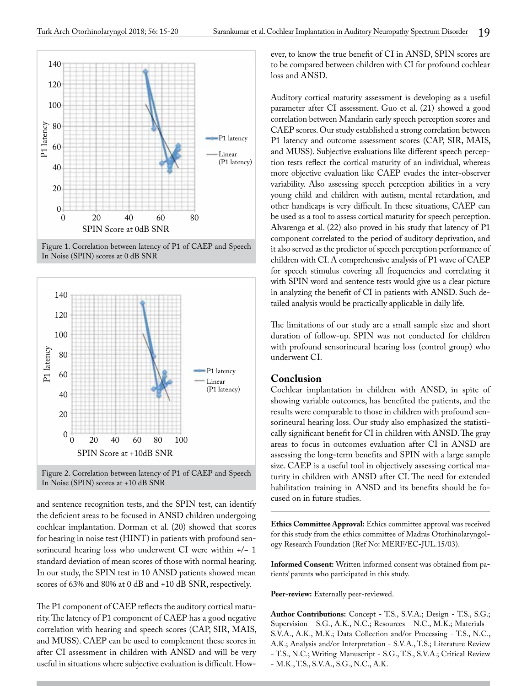

Figure 1. Correlation between latency of P1 of CAEP and Speech In Noise (SPIN) scores at 0 dB SNR



Figure 2. Correlation between latency of P1 of CAEP and Speech In Noise (SPIN) scores at +10 dB SNR

and sentence recognition tests, and the SPIN test, can identify the deficient areas to be focused in ANSD children undergoing cochlear implantation. Dorman et al. (20) showed that scores for hearing in noise test (HINT) in patients with profound sensorineural hearing loss who underwent CI were within +/− 1 standard deviation of mean scores of those with normal hearing. In our study, the SPIN test in 10 ANSD patients showed mean scores of 63% and 80% at 0 dB and +10 dB SNR, respectively.

The P1 component of CAEP reflects the auditory cortical maturity. The latency of P1 component of CAEP has a good negative correlation with hearing and speech scores (CAP, SIR, MAIS, and MUSS). CAEP can be used to complement these scores in after CI assessment in children with ANSD and will be very useful in situations where subjective evaluation is difficult. However, to know the true benefit of CI in ANSD, SPIN scores are to be compared between children with CI for profound cochlear loss and ANSD.

Auditory cortical maturity assessment is developing as a useful parameter after CI assessment. Guo et al. (21) showed a good correlation between Mandarin early speech perception scores and CAEP scores. Our study established a strong correlation between P1 latency and outcome assessment scores (CAP, SIR, MAIS, and MUSS). Subjective evaluations like different speech perception tests reflect the cortical maturity of an individual, whereas more objective evaluation like CAEP evades the inter-observer variability. Also assessing speech perception abilities in a very young child and children with autism, mental retardation, and other handicaps is very difficult. In these situations, CAEP can be used as a tool to assess cortical maturity for speech perception. Alvarenga et al. (22) also proved in his study that latency of P1 component correlated to the period of auditory deprivation, and it also served as the predictor of speech perception performance of children with CI. A comprehensive analysis of P1 wave of CAEP for speech stimulus covering all frequencies and correlating it with SPIN word and sentence tests would give us a clear picture in analyzing the benefit of CI in patients with ANSD. Such detailed analysis would be practically applicable in daily life.

The limitations of our study are a small sample size and short duration of follow-up. SPIN was not conducted for children with profound sensorineural hearing loss (control group) who underwent CI.

### **Conclusion**

Cochlear implantation in children with ANSD, in spite of showing variable outcomes, has benefited the patients, and the results were comparable to those in children with profound sensorineural hearing loss. Our study also emphasized the statistically significant benefit for CI in children with ANSD. The gray areas to focus in outcomes evaluation after CI in ANSD are assessing the long-term benefits and SPIN with a large sample size. CAEP is a useful tool in objectively assessing cortical maturity in children with ANSD after CI. The need for extended habilitation training in ANSD and its benefits should be focused on in future studies.

**Ethics Committee Approval:** Ethics committee approval was received for this study from the ethics committee of Madras Otorhinolaryngology Research Foundation (Ref No: MERF/EC-JUL.15/03).

**Informed Consent:** Written informed consent was obtained from patients' parents who participated in this study.

**Peer-review:** Externally peer-reviewed.

**Author Contributions:** Concept - T.S., S.V.A.; Design - T.S., S.G.; Supervision - S.G., A.K., N.C.; Resources - N.C., M.K.; Materials - S.V.A., A.K., M.K.; Data Collection and/or Processing - T.S., N.C., A.K.; Analysis and/or Interpretation - S.V.A., T.S.; Literature Review - T.S., N.C.; Writing Manuscript - S.G., T.S., S.V.A.; Critical Review - M.K., T.S., S.V.A., S.G., N.C., A.K.